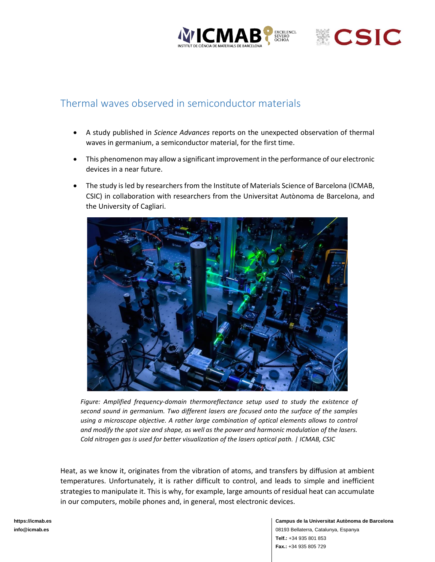



## Thermal waves observed in semiconductor materials

- A study published in *Science Advances* reports on the unexpected observation of thermal waves in germanium, a semiconductor material, for the first time.
- This phenomenon may allow a significant improvement in the performance of our electronic devices in a near future.
- The study is led by researchers from the Institute of Materials Science of Barcelona (ICMAB, CSIC) in collaboration with researchers from the Universitat Autònoma de Barcelona, and the University of Cagliari.



*Figure: Amplified frequency-domain thermoreflectance setup used to study the existence of second sound in germanium. Two different lasers are focused onto the surface of the samples using a microscope objective. A rather large combination of optical elements allows to control and modify the spot size and shape, as well as the power and harmonic modulation of the lasers. Cold nitrogen gas is used for better visualization of the lasers optical path. | ICMAB, CSIC*

Heat, as we know it, originates from the vibration of atoms, and transfers by diffusion at ambient temperatures. Unfortunately, it is rather difficult to control, and leads to simple and inefficient strategies to manipulate it. This is why, for example, large amounts of residual heat can accumulate in our computers, mobile phones and, in general, most electronic devices.

**[https://icmab.es](https://icmab.es/) [info@icmab.es](https://icmab.es/)**

**Campus de la Universitat Autònoma de Barcelona** 08193 Bellaterra, Catalunya, Espanya **Telf.:** +34 935 801 853 **Fax.:** +34 935 805 729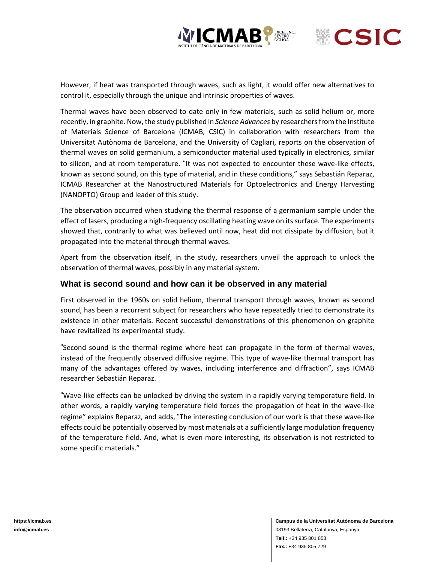



However, if heat was transported through waves, such as light, it would offer new alternatives to control it, especially through the unique and intrinsic properties of waves.

Thermal waves have been observed to date only in few materials, such as solid helium or, more recently, in graphite. Now, the study published in *Science Advances* by researchersfrom the Institute of Materials Science of Barcelona (ICMAB, CSIC) in collaboration with researchers from the Universitat Autònoma de Barcelona, and the University of Cagliari, reports on the observation of thermal waves on solid germanium, a semiconductor material used typically in electronics, similar to silicon, and at room temperature. "It was not expected to encounter these wave-like effects, known as second sound, on this type of material, and in these conditions," says Sebastián Reparaz, ICMAB Researcher at the Nanostructured Materials for Optoelectronics and Energy Harvesting (NANOPTO) Group and leader of this study.

The observation occurred when studying the thermal response of a germanium sample under the effect of lasers, producing a high-frequency oscillating heating wave on its surface. The experiments showed that, contrarily to what was believed until now, heat did not dissipate by diffusion, but it propagated into the material through thermal waves.

Apart from the observation itself, in the study, researchers unveil the approach to unlock the observation of thermal waves, possibly in any material system.

## **What is second sound and how can it be observed in any material**

First observed in the 1960s on solid helium, thermal transport through waves, known as second sound, has been a recurrent subject for researchers who have repeatedly tried to demonstrate its existence in other materials. Recent successful demonstrations of this phenomenon on graphite have revitalized its experimental study.

"Second sound is the thermal regime where heat can propagate in the form of thermal waves, instead of the frequently observed diffusive regime. This type of wave-like thermal transport has many of the advantages offered by waves, including interference and diffraction", says ICMAB researcher Sebastián Reparaz.

"Wave-like effects can be unlocked by driving the system in a rapidly varying temperature field. In other words, a rapidly varying temperature field forces the propagation of heat in the wave-like regime" explains Reparaz, and adds, "The interesting conclusion of our work is that these wave-like effects could be potentially observed by most materials at a sufficiently large modulation frequency of the temperature field. And, what is even more interesting, its observation is not restricted to some specific materials."